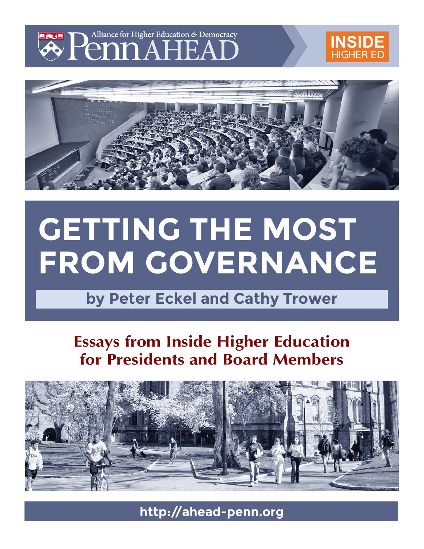

# **[INSIDE](https://www.insidehighered.com/)** HIGHER ED



# **GETTING THE MOST FROM GOVERNANCE**

**by Peter Eckel and Cathy Trower**

# **Essays from Inside Higher Education for Presidents and Board Members**



**http://ahead-penn.org**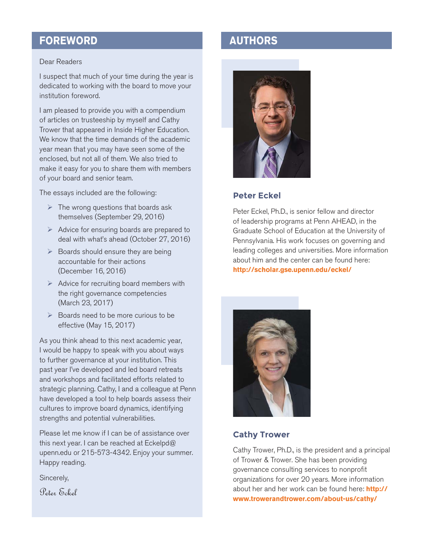## **FOREWORD AUTHORS**

#### Dear Readers

I suspect that much of your time during the year is dedicated to working with the board to move your institution foreword.

I am pleased to provide you with a compendium of articles on trusteeship by myself and Cathy Trower that appeared in Inside Higher Education. We know that the time demands of the academic year mean that you may have seen some of the enclosed, but not all of them. We also tried to make it easy for you to share them with members of your board and senior team.

The essays included are the following:

- $\triangleright$  The wrong questions that boards ask themselves (September 29, 2016)
- $\triangleright$  Advice for ensuring boards are prepared to deal with what's ahead (October 27, 2016)
- $\triangleright$  Boards should ensure they are being accountable for their actions (December 16, 2016)
- $\triangleright$  Advice for recruiting board members with the right governance competencies (March 23, 2017)
- $\triangleright$  Boards need to be more curious to be effective (May 15, 2017)

As you think ahead to this next academic year, I would be happy to speak with you about ways to further governance at your institution. This past year I've developed and led board retreats and workshops and facilitated efforts related to strategic planning. Cathy, I and a colleague at Penn have developed a tool to help boards assess their cultures to improve board dynamics, identifying strengths and potential vulnerabilities.

Please let me know if I can be of assistance over this next year. I can be reached at Eckelpd@ upenn.edu or 215-573-4342. Enjoy your summer. Happy reading.

Sincerely,

Peter Eckel



#### **Peter Eckel**

Peter Eckel, Ph.D., is senior fellow and director of leadership programs at Penn AHEAD, in the Graduate School of Education at the University of Pennsylvania. His work focuses on governing and leading colleges and universities. More information about him and the center can be found here: **http://scholar.gse.upenn.edu/eckel/**



#### **Cathy Trower**

Cathy Trower, Ph.D., is the president and a principal of Trower & Trower. She has been providing governance consulting services to nonprofit organizations for over 20 years. More information about her and her work can be found here: **http:// www.trowerandtrower.com/about-us/cathy/**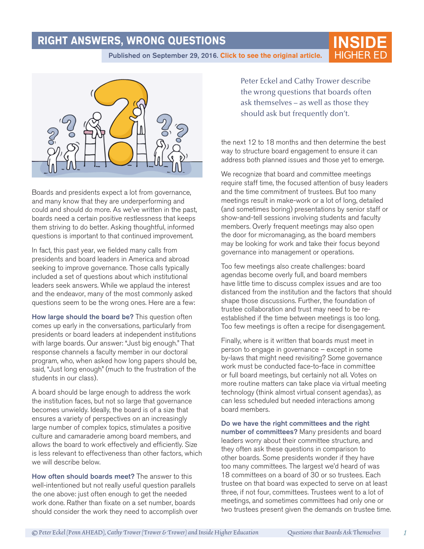### **RIGHT ANSWERS, WRONG QUESTIONS**

[Published on September 29, 2016.](https://www.insidehighered.com/views/2016/09/29/wrong-questions-boards-ask-themselves-essay) Click to see the original article.



Boards and presidents expect a lot from governance, and many know that they are underperforming and could and should do more. As we've written in the past, boards need a certain positive restlessness that keeps them striving to do better. Asking thoughtful, informed questions is important to that continued improvement.

In fact, this past year, we fielded many calls from presidents and board leaders in America and abroad seeking to improve governance. Those calls typically included a set of questions about which institutional leaders seek answers. While we applaud the interest and the endeavor, many of the most commonly asked questions seem to be the wrong ones. Here are a few:

How large should the board be? This question often comes up early in the conversations, particularly from presidents or board leaders at independent institutions with large boards. Our answer: "Just big enough." That response channels a faculty member in our doctoral program, who, when asked how long papers should be, said, "Just long enough" (much to the frustration of the students in our class).

A board should be large enough to address the work the institution faces, but not so large that governance becomes unwieldy. Ideally, the board is of a size that ensures a variety of perspectives on an increasingly large number of complex topics, stimulates a positive culture and camaraderie among board members, and allows the board to work effectively and efficiently. Size is less relevant to effectiveness than other factors, which we will describe below.

How often should boards meet? The answer to this well-intentioned but not really useful question parallels the one above: just often enough to get the needed work done. Rather than fixate on a set number, boards should consider the work they need to accomplish over

Peter Eckel and Cathy Trower describe the wrong questions that boards often ask themselves – as well as those they should ask but frequently don't.

**INSIDE**

the next 12 to 18 months and then determine the best way to structure board engagement to ensure it can address both planned issues and those yet to emerge.

We recognize that board and committee meetings require staff time, the focused attention of busy leaders and the time commitment of trustees. But too many meetings result in make-work or a lot of long, detailed (and sometimes boring) presentations by senior staff or show-and-tell sessions involving students and faculty members. Overly frequent meetings may also open the door for micromanaging, as the board members may be looking for work and take their focus beyond governance into management or operations.

Too few meetings also create challenges: board agendas become overly full, and board members have little time to discuss complex issues and are too distanced from the institution and the factors that should shape those discussions. Further, the foundation of trustee collaboration and trust may need to be reestablished if the time between meetings is too long. Too few meetings is often a recipe for disengagement.

Finally, where is it written that boards must meet in person to engage in governance – except in some by-laws that might need revisiting? Some governance work must be conducted face-to-face in committee or full board meetings, but certainly not all. Votes on more routine matters can take place via virtual meeting technology (think almost virtual consent agendas), as can less scheduled but needed interactions among board members.

Do we have the right committees and the right number of committees? Many presidents and board leaders worry about their committee structure, and they often ask these questions in comparison to other boards. Some presidents wonder if they have too many committees. The largest we'd heard of was 18 committees on a board of 30 or so trustees. Each trustee on that board was expected to serve on at least three, if not four, committees. Trustees went to a lot of meetings, and sometimes committees had only one or two trustees present given the demands on trustee time.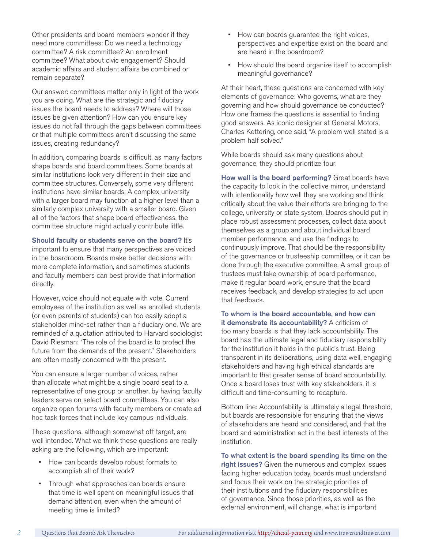Other presidents and board members wonder if they need more committees: Do we need a technology committee? A risk committee? An enrollment committee? What about civic engagement? Should academic affairs and student affairs be combined or remain separate?

Our answer: committees matter only in light of the work you are doing. What are the strategic and fiduciary issues the board needs to address? Where will those issues be given attention? How can you ensure key issues do not fall through the gaps between committees or that multiple committees aren't discussing the same issues, creating redundancy?

In addition, comparing boards is difficult, as many factors shape boards and board committees. Some boards at similar institutions look very different in their size and committee structures. Conversely, some very different institutions have similar boards. A complex university with a larger board may function at a higher level than a similarly complex university with a smaller board. Given all of the factors that shape board effectiveness, the committee structure might actually contribute little.

#### Should faculty or students serve on the board? It's

important to ensure that many perspectives are voiced in the boardroom. Boards make better decisions with more complete information, and sometimes students and faculty members can best provide that information directly.

However, voice should not equate with vote. Current employees of the institution as well as enrolled students (or even parents of students) can too easily adopt a stakeholder mind-set rather than a fiduciary one. We are reminded of a quotation attributed to Harvard sociologist David Riesman: "The role of the board is to protect the future from the demands of the present." Stakeholders are often mostly concerned with the present.

You can ensure a larger number of voices, rather than allocate what might be a single board seat to a representative of one group or another, by having faculty leaders serve on select board committees. You can also organize open forums with faculty members or create ad hoc task forces that include key campus individuals.

These questions, although somewhat off target, are well intended. What we think these questions are really asking are the following, which are important:

- How can boards develop robust formats to accomplish all of their work?
- Through what approaches can boards ensure that time is well spent on meaningful issues that demand attention, even when the amount of meeting time is limited?
- How can boards guarantee the right voices, perspectives and expertise exist on the board and are heard in the boardroom?
- How should the board organize itself to accomplish meaningful governance?

At their heart, these questions are concerned with key elements of governance: Who governs, what are they governing and how should governance be conducted? How one frames the questions is essential to finding good answers. As iconic designer at General Motors, Charles Kettering, once said, "A problem well stated is a problem half solved."

While boards should ask many questions about governance, they should prioritize four.

How well is the board performing? Great boards have the capacity to look in the collective mirror, understand with intentionality how well they are working and think critically about the value their efforts are bringing to the college, university or state system. Boards should put in place robust assessment processes, collect data about themselves as a group and about individual board member performance, and use the findings to continuously improve. That should be the responsibility of the governance or trusteeship committee, or it can be done through the executive committee. A small group of trustees must take ownership of board performance, make it regular board work, ensure that the board receives feedback, and develop strategies to act upon that feedback.

To whom is the board accountable, and how can it demonstrate its accountability? A criticism of too many boards is that they lack accountability. The board has the ultimate legal and fiduciary responsibility for the institution it holds in the public's trust. Being transparent in its deliberations, using data well, engaging stakeholders and having high ethical standards are important to that greater sense of board accountability. Once a board loses trust with key stakeholders, it is difficult and time-consuming to recapture.

Bottom line: Accountability is ultimately a legal threshold, but boards are responsible for ensuring that the views of stakeholders are heard and considered, and that the board and administration act in the best interests of the institution.

To what extent is the board spending its time on the right issues? Given the numerous and complex issues facing higher education today, boards must understand and focus their work on the strategic priorities of their institutions and the fiduciary responsibilities of governance. Since those priorities, as well as the external environment, will change, what is important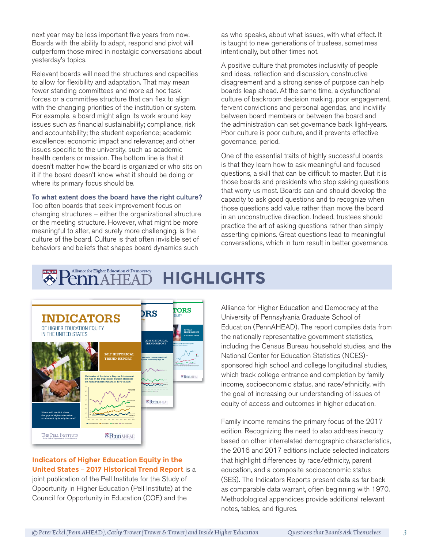next year may be less important five years from now. Boards with the ability to adapt, respond and pivot will outperform those mired in nostalgic conversations about yesterday's topics.

Relevant boards will need the structures and capacities to allow for flexibility and adaptation. That may mean fewer standing committees and more ad hoc task forces or a committee structure that can flex to align with the changing priorities of the institution or system. For example, a board might align its work around key issues such as financial sustainability; compliance, risk and accountability; the student experience; academic excellence; economic impact and relevance; and other issues specific to the university, such as academic health centers or mission. The bottom line is that it doesn't matter how the board is organized or who sits on it if the board doesn't know what it should be doing or where its primary focus should be.

#### To what extent does the board have the right culture?

Too often boards that seek improvement focus on changing structures – either the organizational structure or the meeting structure. However, what might be more meaningful to alter, and surely more challenging, is the culture of the board. Culture is that often invisible set of behaviors and beliefs that shapes board dynamics such

as who speaks, about what issues, with what effect. It is taught to new generations of trustees, sometimes intentionally, but other times not.

A positive culture that promotes inclusivity of people and ideas, reflection and discussion, constructive disagreement and a strong sense of purpose can help boards leap ahead. At the same time, a dysfunctional culture of backroom decision making, poor engagement, fervent convictions and personal agendas, and incivility between board members or between the board and the administration can set governance back light-years. Poor culture is poor culture, and it prevents effective governance, period.

One of the essential traits of highly successful boards is that they learn how to ask meaningful and focused questions, a skill that can be difficult to master. But it is those boards and presidents who stop asking questions that worry us most. Boards can and should develop the capacity to ask good questions and to recognize when those questions add value rather than move the board in an unconstructive direction. Indeed, trustees should practice the art of asking questions rather than simply asserting opinions. Great questions lead to meaningful conversations, which in turn result in better governance.

#### Alliance for Higher Education & Democracy **HIGHLIGHTS**



**Indicators of Higher Education Equity in the [United States — 2017 Historical Trend Report](http://pellinstitute.org/indicators/)** is a joint publication of the Pell Institute for the Study of Opportunity in Higher Education (Pell Institute) at the Council for Opportunity in Education (COE) and the

Alliance for Higher Education and Democracy at the University of Pennsylvania Graduate School of Education (PennAHEAD). The report compiles data from the nationally representative government statistics, including the Census Bureau household studies, and the National Center for Education Statistics (NCES) sponsored high school and college longitudinal studies, which track college entrance and completion by family income, socioeconomic status, and race/ethnicity, with the goal of increasing our understanding of issues of equity of access and outcomes in higher education.

Family income remains the primary focus of the 2017 edition. Recognizing the need to also address inequity based on other interrelated demographic characteristics, the 2016 and 2017 editions include selected indicators that highlight differences by race/ethnicity, parent education, and a composite socioeconomic status (SES). The Indicators Reports present data as far back as comparable data warrant, often beginning with 1970. Methodological appendices provide additional relevant notes, tables, and figures.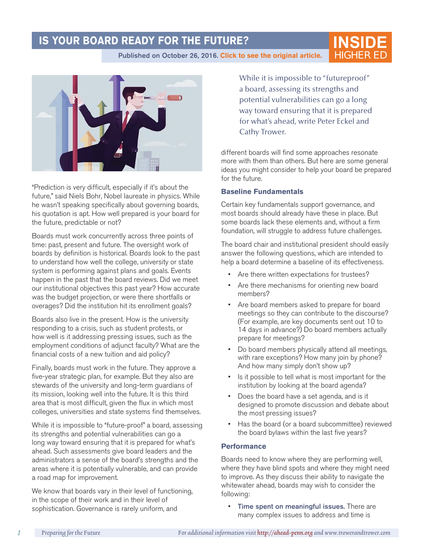# **IS YOUR BOARD READY FOR THE FUTURE?**

[Published on October 26, 2016.](https://www.insidehighered.com/views/2016/10/27/advice-ensuring-boards-are-prepared-deal-whats-ahead-essay) Click to see the original article. **HIGHER ED** 



"Prediction is very difficult, especially if it's about the future," said Niels Bohr, Nobel laureate in physics. While he wasn't speaking specifically about governing boards, his quotation is apt. How well prepared is your board for the future, predictable or not?

Boards must work concurrently across three points of time: past, present and future. The oversight work of boards by definition is historical. Boards look to the past to understand how well the college, university or state system is performing against plans and goals. Events happen in the past that the board reviews. Did we meet our institutional objectives this past year? How accurate was the budget projection, or were there shortfalls or overages? Did the institution hit its enrollment goals?

Boards also live in the present. How is the university responding to a crisis, such as student protests, or how well is it addressing pressing issues, such as the employment conditions of adjunct faculty? What are the financial costs of a new tuition and aid policy?

Finally, boards must work in the future. They approve a five-year strategic plan, for example. But they also are stewards of the university and long-term guardians of its mission, looking well into the future. It is this third area that is most difficult, given the flux in which most colleges, universities and state systems find themselves.

While it is impossible to "future-proof" a board, assessing its strengths and potential vulnerabilities can go a long way toward ensuring that it is prepared for what's ahead. Such assessments give board leaders and the administrators a sense of the board's strengths and the areas where it is potentially vulnerable, and can provide a road map for improvement.

We know that boards vary in their level of functioning, in the scope of their work and in their level of sophistication. Governance is rarely uniform, and

While it is impossible to "futureproof" a board, assessing its strengths and potential vulnerabilities can go a long way toward ensuring that it is prepared for what's ahead, write Peter Eckel and Cathy Trower.

**INSID** 

different boards will find some approaches resonate more with them than others. But here are some general ideas you might consider to help your board be prepared for the future.

#### **Baseline Fundamentals**

Certain key fundamentals support governance, and most boards should already have these in place. But some boards lack these elements and, without a firm foundation, will struggle to address future challenges.

The board chair and institutional president should easily answer the following questions, which are intended to help a board determine a baseline of its effectiveness.

- Are there written expectations for trustees?
- Are there mechanisms for orienting new board members?
- Are board members asked to prepare for board meetings so they can contribute to the discourse? (For example, are key documents sent out 10 to 14 days in advance?) Do board members actually prepare for meetings?
- Do board members physically attend all meetings, with rare exceptions? How many join by phone? And how many simply don't show up?
- Is it possible to tell what is most important for the institution by looking at the board agenda?
- Does the board have a set agenda, and is it designed to promote discussion and debate about the most pressing issues?
- Has the board (or a board subcommittee) reviewed the board bylaws within the last five years?

#### **Performance**

Boards need to know where they are performing well, where they have blind spots and where they might need to improve. As they discuss their ability to navigate the whitewater ahead, boards may wish to consider the following:

• Time spent on meaningful issues. There are many complex issues to address and time is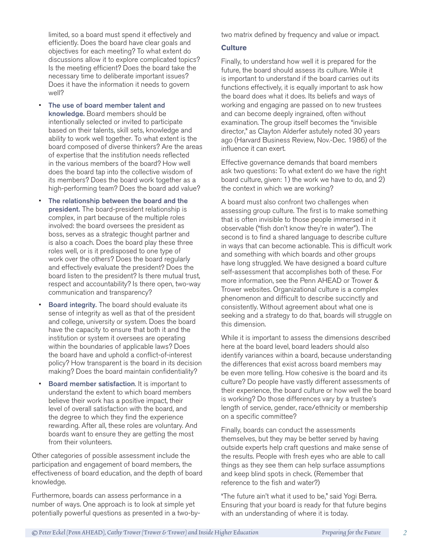limited, so a board must spend it effectively and efficiently. Does the board have clear goals and objectives for each meeting? To what extent do discussions allow it to explore complicated topics? Is the meeting efficient? Does the board take the necessary time to deliberate important issues? Does it have the information it needs to govern well?

- The use of board member talent and knowledge. Board members should be intentionally selected or invited to participate based on their talents, skill sets, knowledge and ability to work well together. To what extent is the board composed of diverse thinkers? Are the areas of expertise that the institution needs reflected in the various members of the board? How well does the board tap into the collective wisdom of its members? Does the board work together as a high-performing team? Does the board add value?
- The relationship between the board and the president. The board-president relationship is complex, in part because of the multiple roles involved: the board oversees the president as boss, serves as a strategic thought partner and is also a coach. Does the board play these three roles well, or is it predisposed to one type of work over the others? Does the board regularly and effectively evaluate the president? Does the board listen to the president? Is there mutual trust, respect and accountability? Is there open, two-way communication and transparency?
- **Board integrity.** The board should evaluate its sense of integrity as well as that of the president and college, university or system. Does the board have the capacity to ensure that both it and the institution or system it oversees are operating within the boundaries of applicable laws? Does the board have and uphold a conflict-of-interest policy? How transparent is the board in its decision making? Does the board maintain confidentiality?
- Board member satisfaction. It is important to understand the extent to which board members believe their work has a positive impact, their level of overall satisfaction with the board, and the degree to which they find the experience rewarding. After all, these roles are voluntary. And boards want to ensure they are getting the most from their volunteers.

Other categories of possible assessment include the participation and engagement of board members, the effectiveness of board education, and the depth of board knowledge.

Furthermore, boards can assess performance in a number of ways. One approach is to look at simple yet potentially powerful questions as presented in a two-bytwo matrix defined by frequency and value or impact.

#### **Culture**

Finally, to understand how well it is prepared for the future, the board should assess its culture. While it is important to understand if the board carries out its functions effectively, it is equally important to ask how the board does what it does. Its beliefs and ways of working and engaging are passed on to new trustees and can become deeply ingrained, often without examination. The group itself becomes the "invisible director," as Clayton Alderfer astutely noted 30 years ago (Harvard Business Review, Nov.-Dec. 1986) of the influence it can exert.

Effective governance demands that board members ask two questions: To what extent do we have the right board culture, given: 1) the work we have to do, and 2) the context in which we are working?

A board must also confront two challenges when assessing group culture. The first is to make something that is often invisible to those people immersed in it observable ("fish don't know they're in water"). The second is to find a shared language to describe culture in ways that can become actionable. This is difficult work and something with which boards and other groups have long struggled. We have designed a board culture self-assessment that accomplishes both of these. For more information, see the Penn AHEAD or Trower & Trower websites. Organizational culture is a complex phenomenon and difficult to describe succinctly and consistently. Without agreement about what one is seeking and a strategy to do that, boards will struggle on this dimension.

While it is important to assess the dimensions described here at the board level, board leaders should also identify variances within a board, because understanding the differences that exist across board members may be even more telling. How cohesive is the board and its culture? Do people have vastly different assessments of their experience, the board culture or how well the board is working? Do those differences vary by a trustee's length of service, gender, race/ethnicity or membership on a specific committee?

Finally, boards can conduct the assessments themselves, but they may be better served by having outside experts help craft questions and make sense of the results. People with fresh eyes who are able to call things as they see them can help surface assumptions and keep blind spots in check. (Remember that reference to the fish and water?)

"The future ain't what it used to be," said Yogi Berra. Ensuring that your board is ready for that future begins with an understanding of where it is today.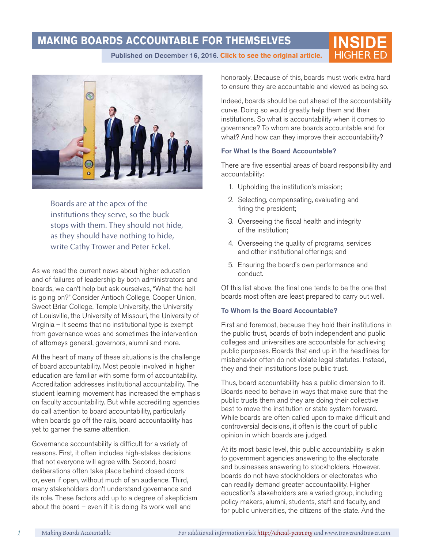# **MAKING BOARDS ACCOUNTABLE FOR THEMSELVES**

**INSIDE** [Published on December 16, 2016.](https://www.insidehighered.com/views/2016/12/16/boards-should-ensure-they-are-being-accountable-their-actions-essay) Click to see the original article.



Boards are at the apex of the institutions they serve, so the buck stops with them. They should not hide, as they should have nothing to hide, write Cathy Trower and Peter Eckel.

As we read the current news about higher education and of failures of leadership by both administrators and boards, we can't help but ask ourselves, "What the hell is going on?" Consider Antioch College, Cooper Union, Sweet Briar College, Temple University, the University of Louisville, the University of Missouri, the University of Virginia – it seems that no institutional type is exempt from governance woes and sometimes the intervention of attorneys general, governors, alumni and more.

At the heart of many of these situations is the challenge of board accountability. Most people involved in higher education are familiar with some form of accountability. Accreditation addresses institutional accountability. The student learning movement has increased the emphasis on faculty accountability. But while accrediting agencies do call attention to board accountability, particularly when boards go off the rails, board accountability has yet to garner the same attention.

Governance accountability is difficult for a variety of reasons. First, it often includes high-stakes decisions that not everyone will agree with. Second, board deliberations often take place behind closed doors or, even if open, without much of an audience. Third, many stakeholders don't understand governance and its role. These factors add up to a degree of skepticism about the board – even if it is doing its work well and

honorably. Because of this, boards must work extra hard to ensure they are accountable and viewed as being so.

Indeed, boards should be out ahead of the accountability curve. Doing so would greatly help them and their institutions. So what is accountability when it comes to governance? To whom are boards accountable and for what? And how can they improve their accountability?

#### For What Is the Board Accountable?

There are five essential areas of board responsibility and accountability:

- 1. Upholding the institution's mission;
- 2. Selecting, compensating, evaluating and firing the president;
- 3. Overseeing the fiscal health and integrity of the institution;
- 4. Overseeing the quality of programs, services and other institutional offerings; and
- 5. Ensuring the board's own performance and conduct.

Of this list above, the final one tends to be the one that boards most often are least prepared to carry out well.

#### To Whom Is the Board Accountable?

First and foremost, because they hold their institutions in the public trust, boards of both independent and public colleges and universities are accountable for achieving public purposes. Boards that end up in the headlines for misbehavior often do not violate legal statutes. Instead, they and their institutions lose public trust.

Thus, board accountability has a public dimension to it. Boards need to behave in ways that make sure that the public trusts them and they are doing their collective best to move the institution or state system forward. While boards are often called upon to make difficult and controversial decisions, it often is the court of public opinion in which boards are judged.

At its most basic level, this public accountability is akin to government agencies answering to the electorate and businesses answering to stockholders. However, boards do not have stockholders or electorates who can readily demand greater accountability. Higher education's stakeholders are a varied group, including policy makers, alumni, students, staff and faculty, and for public universities, the citizens of the state. And the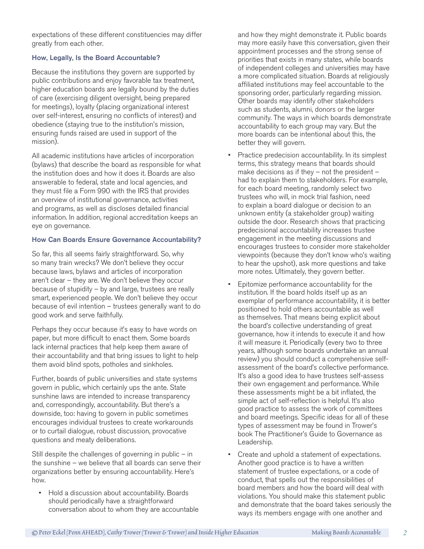expectations of these different constituencies may differ greatly from each other.

#### How, Legally, Is the Board Accountable?

Because the institutions they govern are supported by public contributions and enjoy favorable tax treatment, higher education boards are legally bound by the duties of care (exercising diligent oversight, being prepared for meetings), loyalty (placing organizational interest over self-interest, ensuring no conflicts of interest) and obedience (staying true to the institution's mission, ensuring funds raised are used in support of the mission).

All academic institutions have articles of incorporation (bylaws) that describe the board as responsible for what the institution does and how it does it. Boards are also answerable to federal, state and local agencies, and they must file a Form 990 with the IRS that provides an overview of institutional governance, activities and programs, as well as discloses detailed financial information. In addition, regional accreditation keeps an eye on governance.

#### How Can Boards Ensure Governance Accountability?

So far, this all seems fairly straightforward. So, why so many train wrecks? We don't believe they occur because laws, bylaws and articles of incorporation aren't clear – they are. We don't believe they occur because of stupidity – by and large, trustees are really smart, experienced people. We don't believe they occur because of evil intention – trustees generally want to do good work and serve faithfully.

Perhaps they occur because it's easy to have words on paper, but more difficult to enact them. Some boards lack internal practices that help keep them aware of their accountability and that bring issues to light to help them avoid blind spots, potholes and sinkholes.

Further, boards of public universities and state systems govern in public, which certainly ups the ante. State sunshine laws are intended to increase transparency and, correspondingly, accountability. But there's a downside, too: having to govern in public sometimes encourages individual trustees to create workarounds or to curtail dialogue, robust discussion, provocative questions and meaty deliberations.

Still despite the challenges of governing in public – in the sunshine – we believe that all boards can serve their organizations better by ensuring accountability. Here's how.

• Hold a discussion about accountability. Boards should periodically have a straightforward conversation about to whom they are accountable and how they might demonstrate it. Public boards may more easily have this conversation, given their appointment processes and the strong sense of priorities that exists in many states, while boards of independent colleges and universities may have a more complicated situation. Boards at religiously affiliated institutions may feel accountable to the sponsoring order, particularly regarding mission. Other boards may identify other stakeholders such as students, alumni, donors or the larger community. The ways in which boards demonstrate accountability to each group may vary. But the more boards can be intentional about this, the better they will govern.

- Practice predecision accountability. In its simplest terms, this strategy means that boards should make decisions as if they – not the president – had to explain them to stakeholders. For example, for each board meeting, randomly select two trustees who will, in mock trial fashion, need to explain a board dialogue or decision to an unknown entity (a stakeholder group) waiting outside the door. Research shows that practicing predecisional accountability increases trustee engagement in the meeting discussions and encourages trustees to consider more stakeholder viewpoints (because they don't know who's waiting to hear the upshot), ask more questions and take more notes. Ultimately, they govern better.
- Epitomize performance accountability for the institution. If the board holds itself up as an exemplar of performance accountability, it is better positioned to hold others accountable as well as themselves. That means being explicit about the board's collective understanding of great governance, how it intends to execute it and how it will measure it. Periodically (every two to three years, although some boards undertake an annual review) you should conduct a comprehensive selfassessment of the board's collective performance. It's also a good idea to have trustees self-assess their own engagement and performance. While these assessments might be a bit inflated, the simple act of self-reflection is helpful. It's also good practice to assess the work of committees and board meetings. Specific ideas for all of these types of assessment may be found in Trower's book The Practitioner's Guide to Governance as Leadership.
- Create and uphold a statement of expectations. Another good practice is to have a written statement of trustee expectations, or a code of conduct, that spells out the responsibilities of board members and how the board will deal with violations. You should make this statement public and demonstrate that the board takes seriously the ways its members engage with one another and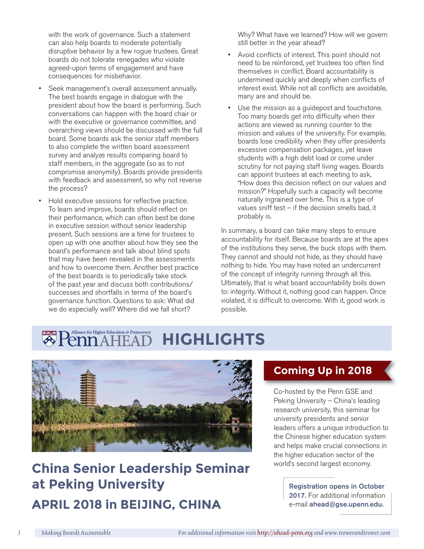with the work of governance. Such a statement can also help boards to moderate potentially disruptive behavior by a few rogue trustees. Great boards do not tolerate renegades who violate agreed-upon terms of engagement and have consequences for misbehavior.

- Seek management's overall assessment annually. The best boards engage in dialogue with the president about how the board is performing. Such conversations can happen with the board chair or with the executive or governance committee, and overarching views should be discussed with the full board. Some boards ask the senior staff members to also complete the written board assessment survey and analyze results comparing board to staff members, in the aggregate (so as to not compromise anonymity). Boards provide presidents with feedback and assessment, so why not reverse the process?
- Hold executive sessions for reflective practice. To learn and improve, boards should reflect on their performance, which can often best be done in executive session without senior leadership present. Such sessions are a time for trustees to open up with one another about how they see the board's performance and talk about blind spots that may have been revealed in the assessments and how to overcome them. Another best practice of the best boards is to periodically take stock of the past year and discuss both contributions/ successes and shortfalls in terms of the board's governance function. Questions to ask: What did we do especially well? Where did we fall short?

Why? What have we learned? How will we govern still better in the year ahead?

- Avoid conflicts of interest. This point should not need to be reinforced, yet trustees too often find themselves in conflict. Board accountability is undermined quickly and deeply when conflicts of interest exist. While not all conflicts are avoidable, many are and should be.
- Use the mission as a guidepost and touchstone. Too many boards get into difficulty when their actions are viewed as running counter to the mission and values of the university. For example, boards lose credibility when they offer presidents excessive compensation packages, yet leave students with a high debt load or come under scrutiny for not paying staff living wages. Boards can appoint trustees at each meeting to ask, "How does this decision reflect on our values and mission?" Hopefully such a capacity will become naturally ingrained over time. This is a type of values sniff test – if the decision smells bad, it probably is.

In summary, a board can take many steps to ensure accountability for itself. Because boards are at the apex of the institutions they serve, the buck stops with them. They cannot and should not hide, as they should have nothing to hide. You may have noted an undercurrent of the concept of integrity running through all this. Ultimately, that is what board accountability boils down to: integrity. Without it, nothing good can happen. Once violated, it is difficult to overcome. With it, good work is possible.

#### Alliance for Higher Education & Democracy **HIGHLIGHTS**



# China Senior Leadership Seminar **World's second largest economy. at Peking University APRIL 2018 in BEIJING, CHINA**

# **Coming Up in 2018**

Co-hosted by the Penn GSE and Peking University – China's leading research university, this seminar for university presidents and senior leaders offers a unique introduction to the Chinese higher education system and helps make crucial connections in the higher education sector of the

> Registration opens in October 2017. For additional information e-mail ahead@gse.upenn.edu.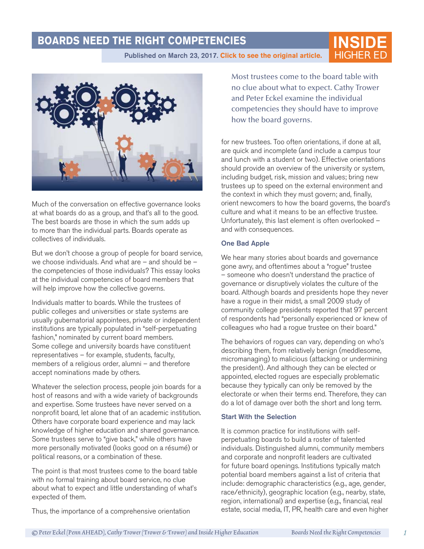### **BOARDS NEED THE RIGHT COMPETENCIES**

**INSIDE**

Published on March 23, 2017. [Click to see the original article.](https://www.insidehighered.com/views/2017/03/23/advice-recruiting-board-members-right-governance-competencies-essay)



Much of the conversation on effective governance looks at what boards do as a group, and that's all to the good. The best boards are those in which the sum adds up to more than the individual parts. Boards operate as collectives of individuals.

But we don't choose a group of people for board service, we choose individuals. And what are – and should be – the competencies of those individuals? This essay looks at the individual competencies of board members that will help improve how the collective governs.

Individuals matter to boards. While the trustees of public colleges and universities or state systems are usually gubernatorial appointees, private or independent institutions are typically populated in "self-perpetuating fashion," nominated by current board members. Some college and university boards have constituent representatives – for example, students, faculty, members of a religious order, alumni – and therefore accept nominations made by others.

Whatever the selection process, people join boards for a host of reasons and with a wide variety of backgrounds and expertise. Some trustees have never served on a nonprofit board, let alone that of an academic institution. Others have corporate board experience and may lack knowledge of higher education and shared governance. Some trustees serve to "give back," while others have more personally motivated (looks good on a résumé) or political reasons, or a combination of these.

The point is that most trustees come to the board table with no formal training about board service, no clue about what to expect and little understanding of what's expected of them.

Thus, the importance of a comprehensive orientation

Most trustees come to the board table with no clue about what to expect. Cathy Trower and Peter Eckel examine the individual competencies they should have to improve how the board governs.

for new trustees. Too often orientations, if done at all, are quick and incomplete (and include a campus tour and lunch with a student or two). Effective orientations should provide an overview of the university or system, including budget, risk, mission and values; bring new trustees up to speed on the external environment and the context in which they must govern; and, finally, orient newcomers to how the board governs, the board's culture and what it means to be an effective trustee. Unfortunately, this last element is often overlooked – and with consequences.

#### One Bad Apple

We hear many stories about boards and governance gone awry, and oftentimes about a "rogue" trustee – someone who doesn't understand the practice of governance or disruptively violates the culture of the board. Although boards and presidents hope they never have a rogue in their midst, a small 2009 study of community college presidents reported that 97 percent of respondents had "personally experienced or knew of colleagues who had a rogue trustee on their board."

The behaviors of rogues can vary, depending on who's describing them, from relatively benign (meddlesome, micromanaging) to malicious (attacking or undermining the president). And although they can be elected or appointed, elected rogues are especially problematic because they typically can only be removed by the electorate or when their terms end. Therefore, they can do a lot of damage over both the short and long term.

#### Start With the Selection

It is common practice for institutions with selfperpetuating boards to build a roster of talented individuals. Distinguished alumni, community members and corporate and nonprofit leaders are cultivated for future board openings. Institutions typically match potential board members against a list of criteria that include: demographic characteristics (e.g., age, gender, race/ethnicity), geographic location (e.g., nearby, state, region, international) and expertise (e.g., financial, real estate, social media, IT, PR, health care and even higher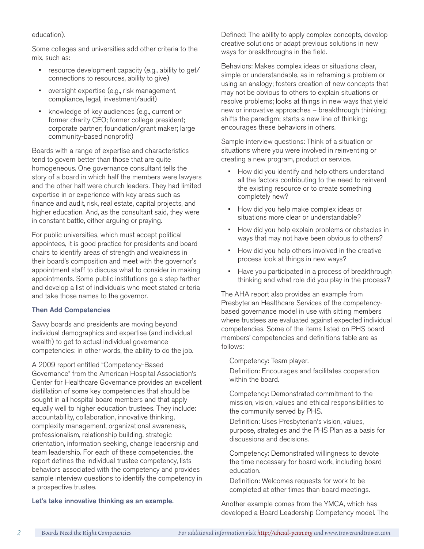#### education).

Some colleges and universities add other criteria to the mix, such as:

- resource development capacity (e.g., ability to get/ connections to resources, ability to give)
- oversight expertise (e.g., risk management, compliance, legal, investment/audit)
- knowledge of key audiences (e.g., current or former charity CEO; former college president; corporate partner; foundation/grant maker; large community-based nonprofit)

Boards with a range of expertise and characteristics tend to govern better than those that are quite homogeneous. One governance consultant tells the story of a board in which half the members were lawyers and the other half were church leaders. They had limited expertise in or experience with key areas such as finance and audit, risk, real estate, capital projects, and higher education. And, as the consultant said, they were in constant battle, either arguing or praying.

For public universities, which must accept political appointees, it is good practice for presidents and board chairs to identify areas of strength and weakness in their board's composition and meet with the governor's appointment staff to discuss what to consider in making appointments. Some public institutions go a step farther and develop a list of individuals who meet stated criteria and take those names to the governor.

#### Then Add Competencies

Savvy boards and presidents are moving beyond individual demographics and expertise (and individual wealth) to get to actual individual governance competencies: in other words, the ability to do the job.

A 2009 report entitled "Competency-Based Governance" from the American Hospital Association's Center for Healthcare Governance provides an excellent distillation of some key competencies that should be sought in all hospital board members and that apply equally well to higher education trustees. They include: accountability, collaboration, innovative thinking, complexity management, organizational awareness, professionalism, relationship building, strategic orientation, information seeking, change leadership and team leadership. For each of these competencies, the report defines the individual trustee competency, lists behaviors associated with the competency and provides sample interview questions to identify the competency in a prospective trustee.

Let's take innovative thinking as an example.

Defined: The ability to apply complex concepts, develop creative solutions or adapt previous solutions in new ways for breakthroughs in the field.

Behaviors: Makes complex ideas or situations clear, simple or understandable, as in reframing a problem or using an analogy; fosters creation of new concepts that may not be obvious to others to explain situations or resolve problems; looks at things in new ways that yield new or innovative approaches – breakthrough thinking; shifts the paradigm; starts a new line of thinking; encourages these behaviors in others.

Sample interview questions: Think of a situation or situations where you were involved in reinventing or creating a new program, product or service.

- How did you identify and help others understand all the factors contributing to the need to reinvent the existing resource or to create something completely new?
- How did you help make complex ideas or situations more clear or understandable?
- How did you help explain problems or obstacles in ways that may not have been obvious to others?
- How did you help others involved in the creative process look at things in new ways?
- Have you participated in a process of breakthrough thinking and what role did you play in the process?

The AHA report also provides an example from Presbyterian Healthcare Services of the competencybased governance model in use with sitting members where trustees are evaluated against expected individual competencies. Some of the items listed on PHS board members' competencies and definitions table are as follows:

Competency: Team player.

Definition: Encourages and facilitates cooperation within the board.

Competency: Demonstrated commitment to the mission, vision, values and ethical responsibilities to the community served by PHS.

Definition: Uses Presbyterian's vision, values, purpose, strategies and the PHS Plan as a basis for discussions and decisions.

Competency: Demonstrated willingness to devote the time necessary for board work, including board education.

Definition: Welcomes requests for work to be completed at other times than board meetings.

Another example comes from the YMCA, which has developed a Board Leadership Competency model. The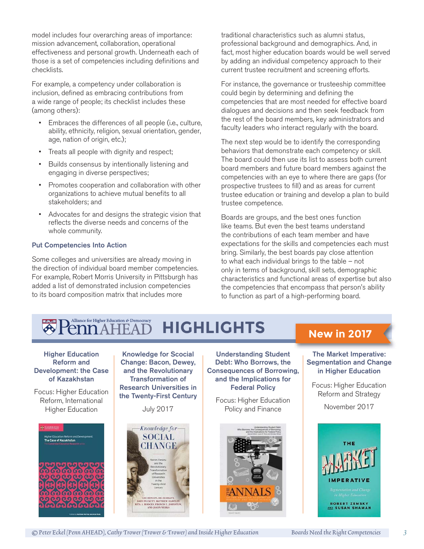model includes four overarching areas of importance: mission advancement, collaboration, operational effectiveness and personal growth. Underneath each of those is a set of competencies including definitions and checklists.

For example, a competency under collaboration is inclusion, defined as embracing contributions from a wide range of people; its checklist includes these (among others):

- Embraces the differences of all people (i.e., culture, ability, ethnicity, religion, sexual orientation, gender, age, nation of origin, etc.);
- Treats all people with dignity and respect;
- Builds consensus by intentionally listening and engaging in diverse perspectives;
- Promotes cooperation and collaboration with other organizations to achieve mutual benefits to all stakeholders; and
- Advocates for and designs the strategic vision that reflects the diverse needs and concerns of the whole community.

#### Put Competencies Into Action

Some colleges and universities are already moving in the direction of individual board member competencies. For example, Robert Morris University in Pittsburgh has added a list of demonstrated inclusion competencies to its board composition matrix that includes more

traditional characteristics such as alumni status, professional background and demographics. And, in fact, most higher education boards would be well served by adding an individual competency approach to their current trustee recruitment and screening efforts.

For instance, the governance or trusteeship committee could begin by determining and defining the competencies that are most needed for effective board dialogues and decisions and then seek feedback from the rest of the board members, key administrators and faculty leaders who interact regularly with the board.

The next step would be to identify the corresponding behaviors that demonstrate each competency or skill. The board could then use its list to assess both current board members and future board members against the competencies with an eye to where there are gaps (for prospective trustees to fill) and as areas for current trustee education or training and develop a plan to build trustee competence.

Boards are groups, and the best ones function like teams. But even the best teams understand the contributions of each team member and have expectations for the skills and competencies each must bring. Similarly, the best boards pay close attention to what each individual brings to the table – not only in terms of background, skill sets, demographic characteristics and functional areas of expertise but also the competencies that encompass that person's ability to function as part of a high-performing board.

#### Alliance for Higher Education & Democracy **HIGHLIGHTS** Λ

#### Higher Education Reform and Development: the Case of Kazakhstan

[Focus: Higher Education](https://www.bookdepository.com/Higher-Education-Reform-Development-Case-Kazakhstan/9781108414074?utm_medium=api&utm_campaign=dealozUS&a_aid=dealozUS&utm_term=9781108414074&utm_source=book_link&utm_content=Higher-Education-Reform-and-Development-the-Case-of-Kazakhstan&data1=16337268)  Reform, International Higher Education



Knowledge for Scocial Change: Bacon, Dewey, and the Revolutionary Transformation of Research Universities in [the Twenty-First Century](https://www.amazon.com/Knowledge-Social-Change-Revolutionary-Transformation/dp/1439915199/ref=tmm_pap_swatch_0?_encoding=UTF8&qid=1498491189&sr=8-1)

July 2017



Understanding Student Debt: Who Borrows, the [Consequences of Borrowing,](http://journals.sagepub.com/toc/anna/671/1)  and the Implications for Federal Policy

Focus: Higher Education Policy and Finance





The Market Imperative: [Segmentation and Change](https://www.amazon.com/Market-Imperative-Segmentation-Education-Innovation/dp/1421424118/ref=sr_1_12?s=books&ie=UTF8&qid=1498493525&sr=1-12&keywords=robert+zemsky)  in Higher Education

Focus: Higher Education Reform and Strategy

November 2017

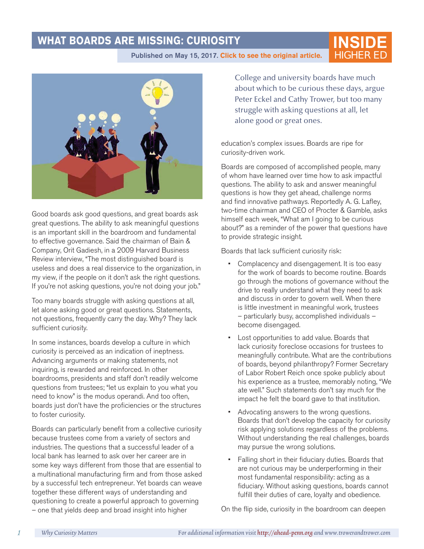# **WHAT BOARDS ARE MISSING: CURIOSITY**

**INSIDE**

Published on May 15, 2017. [Click to see the original article.](https://www.insidehighered.com/views/2016/09/29/wrong-questions-boards-ask-themselves-essay)



Good boards ask good questions, and great boards ask great questions. The ability to ask meaningful questions is an important skill in the boardroom and fundamental to effective governance. Said the chairman of Bain & Company, Orit Gadiesh, in a 2009 Harvard Business Review interview, "The most distinguished board is useless and does a real disservice to the organization, in my view, if the people on it don't ask the right questions. If you're not asking questions, you're not doing your job."

Too many boards struggle with asking questions at all, let alone asking good or great questions. Statements, not questions, frequently carry the day. Why? They lack sufficient curiosity.

In some instances, boards develop a culture in which curiosity is perceived as an indication of ineptness. Advancing arguments or making statements, not inquiring, is rewarded and reinforced. In other boardrooms, presidents and staff don't readily welcome questions from trustees; "let us explain to you what you need to know" is the modus operandi. And too often, boards just don't have the proficiencies or the structures to foster curiosity.

Boards can particularly benefit from a collective curiosity because trustees come from a variety of sectors and industries. The questions that a successful leader of a local bank has learned to ask over her career are in some key ways different from those that are essential to a multinational manufacturing firm and from those asked by a successful tech entrepreneur. Yet boards can weave together these different ways of understanding and questioning to create a powerful approach to governing – one that yields deep and broad insight into higher

College and university boards have much about which to be curious these days, argue Peter Eckel and Cathy Trower, but too many struggle with asking questions at all, let alone good or great ones.

education's complex issues. Boards are ripe for curiosity-driven work.

Boards are composed of accomplished people, many of whom have learned over time how to ask impactful questions. The ability to ask and answer meaningful questions is how they get ahead, challenge norms and find innovative pathways. Reportedly A. G. Lafley, two-time chairman and CEO of Procter & Gamble, asks himself each week, "What am I going to be curious about?" as a reminder of the power that questions have to provide strategic insight.

Boards that lack sufficient curiosity risk:

- Complacency and disengagement. It is too easy for the work of boards to become routine. Boards go through the motions of governance without the drive to really understand what they need to ask and discuss in order to govern well. When there is little investment in meaningful work, trustees – particularly busy, accomplished individuals – become disengaged.
- Lost opportunities to add value. Boards that lack curiosity foreclose occasions for trustees to meaningfully contribute. What are the contributions of boards, beyond philanthropy? Former Secretary of Labor Robert Reich once spoke publicly about his experience as a trustee, memorably noting, "We ate well." Such statements don't say much for the impact he felt the board gave to that institution.
- Advocating answers to the wrong questions. Boards that don't develop the capacity for curiosity risk applying solutions regardless of the problems. Without understanding the real challenges, boards may pursue the wrong solutions.
- Falling short in their fiduciary duties. Boards that are not curious may be underperforming in their most fundamental responsibility: acting as a fiduciary. Without asking questions, boards cannot fulfill their duties of care, loyalty and obedience.

On the flip side, curiosity in the boardroom can deepen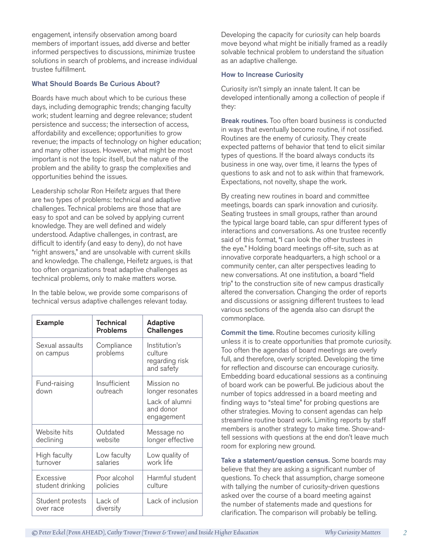engagement, intensify observation among board members of important issues, add diverse and better informed perspectives to discussions, minimize trustee solutions in search of problems, and increase individual trustee fulfillment.

#### What Should Boards Be Curious About?

Boards have much about which to be curious these days, including demographic trends; changing faculty work; student learning and degree relevance; student persistence and success; the intersection of access, affordability and excellence; opportunities to grow revenue; the impacts of technology on higher education; and many other issues. However, what might be most important is not the topic itself, but the nature of the problem and the ability to grasp the complexities and opportunities behind the issues.

Leadership scholar Ron Heifetz argues that there are two types of problems: technical and adaptive challenges. Technical problems are those that are easy to spot and can be solved by applying current knowledge. They are well defined and widely understood. Adaptive challenges, in contrast, are difficult to identify (and easy to deny), do not have "right answers," and are unsolvable with current skills and knowledge. The challenge, Heifetz argues, is that too often organizations treat adaptive challenges as technical problems, only to make matters worse.

In the table below, we provide some comparisons of technical versus adaptive challenges relevant today.

| <b>Example</b>                | <b>Technical</b><br><b>Problems</b> | <b>Adaptive</b><br><b>Challenges</b>                                        |
|-------------------------------|-------------------------------------|-----------------------------------------------------------------------------|
| Sexual assaults<br>on campus  | Compliance<br>problems              | Institution's<br>culture<br>regarding risk<br>and safety                    |
| Fund-raising<br>down          | Insufficient<br>outreach            | Mission no<br>longer resonates<br>Lack of alumni<br>and donor<br>engagement |
| Website hits<br>declining     | Outdated<br>website                 | Message no<br>longer effective                                              |
| High faculty<br>turnover      | Low faculty<br>salaries             | Low quality of<br>work life                                                 |
| Excessive<br>student drinking | Poor alcohol<br>policies            | Harmful student<br>culture                                                  |
| Student protests<br>over race | Lack of<br>diversity                | Lack of inclusion                                                           |

Developing the capacity for curiosity can help boards move beyond what might be initially framed as a readily solvable technical problem to understand the situation as an adaptive challenge.

#### How to Increase Curiosity

Curiosity isn't simply an innate talent. It can be developed intentionally among a collection of people if they:

**Break routines.** Too often board business is conducted in ways that eventually become routine, if not ossified. Routines are the enemy of curiosity. They create expected patterns of behavior that tend to elicit similar types of questions. If the board always conducts its business in one way, over time, it learns the types of questions to ask and not to ask within that framework. Expectations, not novelty, shape the work.

By creating new routines in board and committee meetings, boards can spark innovation and curiosity. Seating trustees in small groups, rather than around the typical large board table, can spur different types of interactions and conversations. As one trustee recently said of this format, "I can look the other trustees in the eye." Holding board meetings off-site, such as at innovative corporate headquarters, a high school or a community center, can alter perspectives leading to new conversations. At one institution, a board "field trip" to the construction site of new campus drastically altered the conversation. Changing the order of reports and discussions or assigning different trustees to lead various sections of the agenda also can disrupt the commonplace.

**Commit the time.** Routine becomes curiosity killing unless it is to create opportunities that promote curiosity. Too often the agendas of board meetings are overly full, and therefore, overly scripted. Developing the time for reflection and discourse can encourage curiosity. Embedding board educational sessions as a continuing of board work can be powerful. Be judicious about the number of topics addressed in a board meeting and finding ways to "steal time" for probing questions are other strategies. Moving to consent agendas can help streamline routine board work. Limiting reports by staff members is another strategy to make time. Show-andtell sessions with questions at the end don't leave much room for exploring new ground.

Take a statement/question census. Some boards may believe that they are asking a significant number of questions. To check that assumption, charge someone with tallying the number of curiosity-driven questions asked over the course of a board meeting against the number of statements made and questions for clarification. The comparison will probably be telling.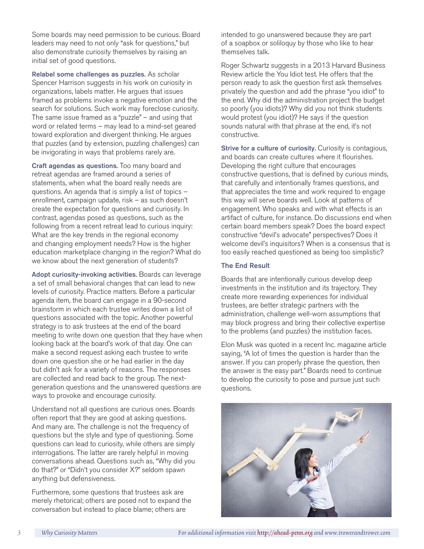Some boards may need permission to be curious. Board leaders may need to not only "ask for questions," but also demonstrate curiosity themselves by raising an initial set of good questions.

Relabel some challenges as puzzles. As scholar Spencer Harrison suggests in his work on curiosity in organizations, labels matter. He argues that issues framed as problems invoke a negative emotion and the search for solutions. Such work may foreclose curiosity. The same issue framed as a "puzzle" – and using that word or related terms – may lead to a mind-set geared toward exploration and divergent thinking. He argues that puzzles (and by extension, puzzling challenges) can be invigorating in ways that problems rarely are.

Craft agendas as questions. Too many board and retreat agendas are framed around a series of statements, when what the board really needs are questions. An agenda that is simply a list of topics – enrollment, campaign update, risk – as such doesn't create the expectation for questions and curiosity. In contrast, agendas posed as questions, such as the following from a recent retreat lead to curious inquiry: What are the key trends in the regional economy and changing employment needs? How is the higher education marketplace changing in the region? What do we know about the next generation of students?

Adopt curiosity-invoking activities. Boards can leverage a set of small behavioral changes that can lead to new levels of curiosity. Practice matters. Before a particular agenda item, the board can engage in a 90-second brainstorm in which each trustee writes down a list of questions associated with the topic. Another powerful strategy is to ask trustees at the end of the board meeting to write down one question that they have when looking back at the board's work of that day. One can make a second request asking each trustee to write down one question she or he had earlier in the day but didn't ask for a variety of reasons. The responses are collected and read back to the group. The nextgeneration questions and the unanswered questions are ways to provoke and encourage curiosity.

Understand not all questions are curious ones. Boards often report that they are good at asking questions. And many are. The challenge is not the frequency of questions but the style and type of questioning. Some questions can lead to curiosity, while others are simply interrogations. The latter are rarely helpful in moving conversations ahead. Questions such as, "Why did you do that?" or "Didn't you consider X?" seldom spawn anything but defensiveness.

Furthermore, some questions that trustees ask are merely rhetorical; others are posed not to expand the conversation but instead to place blame; others are

intended to go unanswered because they are part of a soapbox or soliloquy by those who like to hear themselves talk.

Roger Schwartz suggests in a 2013 Harvard Business Review article the You Idiot test. He offers that the person ready to ask the question first ask themselves privately the question and add the phrase "you idiot" to the end. Why did the administration project the budget so poorly (you idiots)? Why did you not think students would protest (you idiot)? He says if the question sounds natural with that phrase at the end, it's not constructive.

Strive for a culture of curiosity. Curiosity is contagious, and boards can create cultures where it flourishes. Developing the right culture that encourages constructive questions, that is defined by curious minds, that carefully and intentionally frames questions, and that appreciates the time and work required to engage this way will serve boards well. Look at patterns of engagement. Who speaks and with what effects is an artifact of culture, for instance. Do discussions end when certain board members speak? Does the board expect constructive "devil's advocate" perspectives? Does it welcome devil's inquisitors? When is a consensus that is too easily reached questioned as being too simplistic?

#### The End Result

Boards that are intentionally curious develop deep investments in the institution and its trajectory. They create more rewarding experiences for individual trustees, are better strategic partners with the administration, challenge well-worn assumptions that may block progress and bring their collective expertise to the problems (and puzzles) the institution faces.

Elon Musk was quoted in a recent Inc. magazine article saying, "A lot of times the question is harder than the answer. If you can properly phrase the question, then the answer is the easy part." Boards need to continue to develop the curiosity to pose and pursue just such questions.